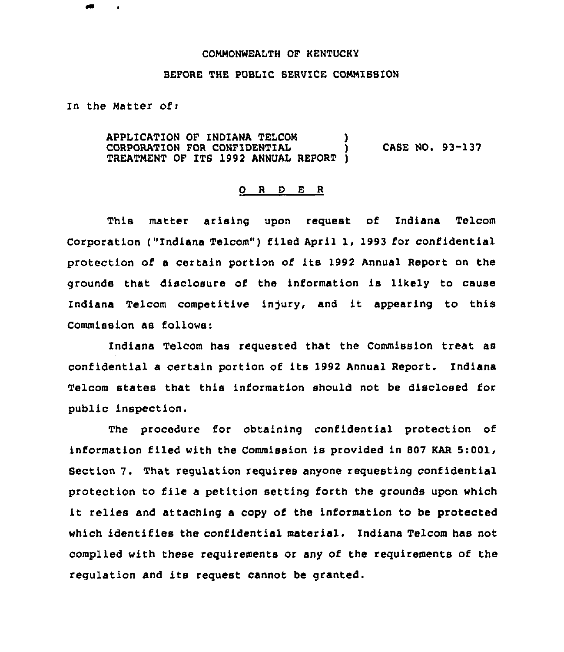## COMMONWEALTH QF KENTUCHY

## BEFORE THE PUBLIC SERUICE COMMISSION

In the Matter ofi

APPLICATION OF INDIANA TELCOM ) CORPORATION FOR CONFIDENTIAL ) CASE NO. 93-137 TREATMENT OF ITS 1992 ANNUAL REPORT )

## 0 <sup>R</sup> <sup>D</sup> <sup>E</sup> <sup>R</sup>

This matter arising upon request of Indiana Telcom Corporation ("Indiana Telcom") filed April 1, 1993 for confidential protection of <sup>a</sup> certain portion of its 1992 Annual Report on the grounds that disclosure of the information is likely to cause Indiana Telcom competitive injury, and it appearing to this Commission as follows:

Indiana Telcom has requested that the Commission treat as confidential a certain portion of its 1992 Annual Report. Indiana Telcom states that this information should not be disclosed for public inspection.

The procedure for obtaining confidential protection of information filed with the Commission is provided in 807 KAR 5:001, Section 7. That regulation requires anyone requesting confidential protection to file a petition setting forth the grounds upon which it relies and attaching <sup>a</sup> copy of the information to be protected which identifies the confidential material. Indiana Telcom has not complied with these requirements or any of the requirements of the regulation and its request cannot be granted.